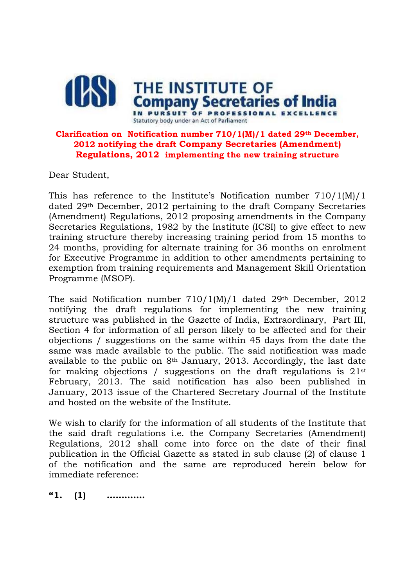

## **Clarification on Notification number 710/1(M)/1 dated 29th December, 2012 notifying the draft Company Secretaries (Amendment) Regulations, 2012 implementing the new training structure**

Dear Student,

This has reference to the Institute's Notification number 710/1(M)/1 dated 29th December, 2012 pertaining to the draft Company Secretaries (Amendment) Regulations, 2012 proposing amendments in the Company Secretaries Regulations, 1982 by the Institute (ICSI) to give effect to new training structure thereby increasing training period from 15 months to 24 months, providing for alternate training for 36 months on enrolment for Executive Programme in addition to other amendments pertaining to exemption from training requirements and Management Skill Orientation Programme (MSOP).

The said Notification number  $710/1(M)/1$  dated 29<sup>th</sup> December, 2012 notifying the draft regulations for implementing the new training structure was published in the Gazette of India, Extraordinary, Part III, Section 4 for information of all person likely to be affected and for their objections / suggestions on the same within 45 days from the date the same was made available to the public. The said notification was made available to the public on 8th January, 2013. Accordingly, the last date for making objections / suggestions on the draft regulations is  $21^{st}$ February, 2013. The said notification has also been published in January, 2013 issue of the Chartered Secretary Journal of the Institute and hosted on the website of the Institute.

We wish to clarify for the information of all students of the Institute that the said draft regulations i.e. the Company Secretaries (Amendment) Regulations, 2012 shall come into force on the date of their final publication in the Official Gazette as stated in sub clause (2) of clause 1 of the notification and the same are reproduced herein below for immediate reference:

**"1. (1) ………….**